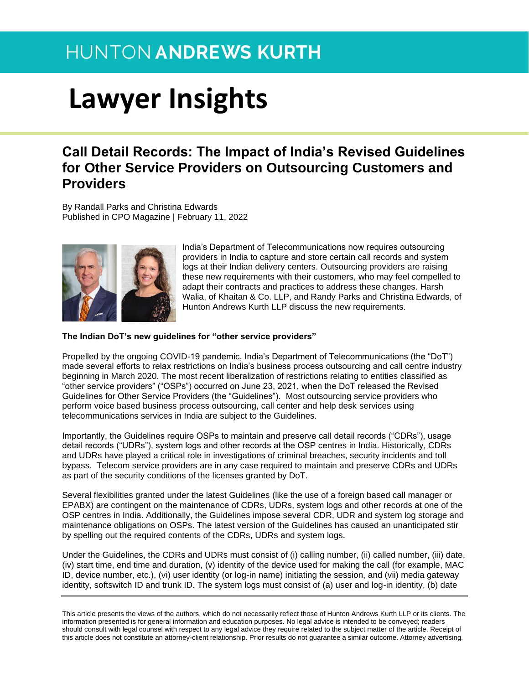### **HUNTON ANDREWS KURTH**

# **Lawyer Insights**

### **Call Detail Records: The Impact of India's Revised Guidelines for Other Service Providers on Outsourcing Customers and Providers**

By Randall Parks and Christina Edwards Published in CPO Magazine | February 11, 2022



India's Department of Telecommunications now requires outsourcing providers in India to capture and store certain call records and system logs at their Indian delivery centers. Outsourcing providers are raising these new requirements with their customers, who may feel compelled to adapt their contracts and practices to address these changes. Harsh Walia, of Khaitan & Co. LLP, and Randy Parks and Christina Edwards, of Hunton Andrews Kurth LLP discuss the new requirements.

#### **The Indian DoT's new guidelines for "other service providers"**

Propelled by the ongoing COVID-19 pandemic, India's Department of Telecommunications (the "DoT") made several efforts to relax restrictions on India's business process outsourcing and call centre industry beginning in March 2020. The most recent liberalization of restrictions relating to entities classified as "other service providers" ("OSPs") occurred on June 23, 2021, when the DoT released the Revised Guidelines for Other Service Providers (the "Guidelines"). Most outsourcing service providers who perform voice based business process outsourcing, call center and help desk services using telecommunications services in India are subject to the Guidelines.

Importantly, the Guidelines require OSPs to maintain and preserve call detail records ("CDRs"), usage detail records ("UDRs"), system logs and other records at the OSP centres in India. Historically, CDRs and UDRs have played a critical role in investigations of criminal breaches, security incidents and toll bypass. Telecom service providers are in any case required to maintain and preserve CDRs and UDRs as part of the security conditions of the licenses granted by DoT.

Several flexibilities granted under the latest Guidelines (like the use of a foreign based call manager or EPABX) are contingent on the maintenance of CDRs, UDRs, system logs and other records at one of the OSP centres in India. Additionally, the Guidelines impose several CDR, UDR and system log storage and maintenance obligations on OSPs. The latest version of the Guidelines has caused an unanticipated stir by spelling out the required contents of the CDRs, UDRs and system logs.

Under the Guidelines, the CDRs and UDRs must consist of (i) calling number, (ii) called number, (iii) date, (iv) start time, end time and duration, (v) identity of the device used for making the call (for example, MAC ID, device number, etc.), (vi) user identity (or log-in name) initiating the session, and (vii) media gateway identity, softswitch ID and trunk ID. The system logs must consist of (a) user and log-in identity, (b) date

This article presents the views of the authors, which do not necessarily reflect those of Hunton Andrews Kurth LLP or its clients. The information presented is for general information and education purposes. No legal advice is intended to be conveyed; readers should consult with legal counsel with respect to any legal advice they require related to the subject matter of the article. Receipt of this article does not constitute an attorney-client relationship. Prior results do not guarantee a similar outcome. Attorney advertising.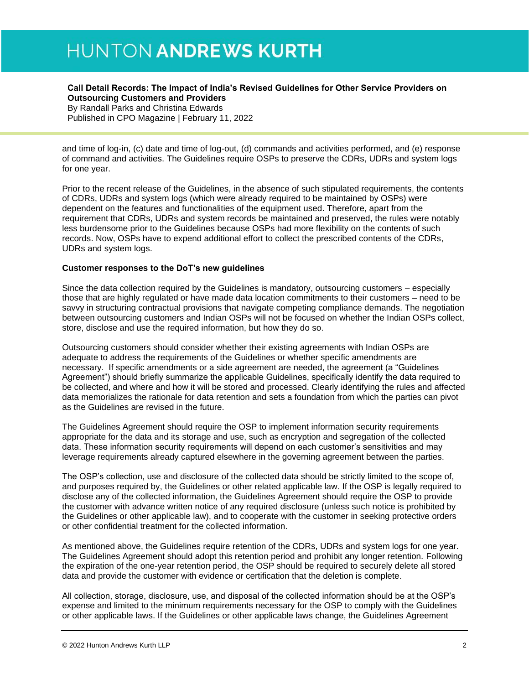## **HUNTON ANDREWS KURTH**

#### **Call Detail Records: The Impact of India's Revised Guidelines for Other Service Providers on Outsourcing Customers and Providers** By Randall Parks and Christina Edwards

Published in CPO Magazine | February 11, 2022

and time of log-in, (c) date and time of log-out, (d) commands and activities performed, and (e) response of command and activities. The Guidelines require OSPs to preserve the CDRs, UDRs and system logs for one year.

Prior to the recent release of the Guidelines, in the absence of such stipulated requirements, the contents of CDRs, UDRs and system logs (which were already required to be maintained by OSPs) were dependent on the features and functionalities of the equipment used. Therefore, apart from the requirement that CDRs, UDRs and system records be maintained and preserved, the rules were notably less burdensome prior to the Guidelines because OSPs had more flexibility on the contents of such records. Now, OSPs have to expend additional effort to collect the prescribed contents of the CDRs, UDRs and system logs.

#### **Customer responses to the DoT's new guidelines**

Since the data collection required by the Guidelines is mandatory, outsourcing customers – especially those that are highly regulated or have made data location commitments to their customers – need to be savvy in structuring contractual provisions that navigate competing compliance demands. The negotiation between outsourcing customers and Indian OSPs will not be focused on whether the Indian OSPs collect, store, disclose and use the required information, but how they do so.

Outsourcing customers should consider whether their existing agreements with Indian OSPs are adequate to address the requirements of the Guidelines or whether specific amendments are necessary. If specific amendments or a side agreement are needed, the agreement (a "Guidelines Agreement") should briefly summarize the applicable Guidelines, specifically identify the data required to be collected, and where and how it will be stored and processed. Clearly identifying the rules and affected data memorializes the rationale for data retention and sets a foundation from which the parties can pivot as the Guidelines are revised in the future.

The Guidelines Agreement should require the OSP to implement information security requirements appropriate for the data and its storage and use, such as encryption and segregation of the collected data. These information security requirements will depend on each customer's sensitivities and may leverage requirements already captured elsewhere in the governing agreement between the parties.

The OSP's collection, use and disclosure of the collected data should be strictly limited to the scope of, and purposes required by, the Guidelines or other related applicable law. If the OSP is legally required to disclose any of the collected information, the Guidelines Agreement should require the OSP to provide the customer with advance written notice of any required disclosure (unless such notice is prohibited by the Guidelines or other applicable law), and to cooperate with the customer in seeking protective orders or other confidential treatment for the collected information.

As mentioned above, the Guidelines require retention of the CDRs, UDRs and system logs for one year. The Guidelines Agreement should adopt this retention period and prohibit any longer retention. Following the expiration of the one-year retention period, the OSP should be required to securely delete all stored data and provide the customer with evidence or certification that the deletion is complete.

All collection, storage, disclosure, use, and disposal of the collected information should be at the OSP's expense and limited to the minimum requirements necessary for the OSP to comply with the Guidelines or other applicable laws. If the Guidelines or other applicable laws change, the Guidelines Agreement